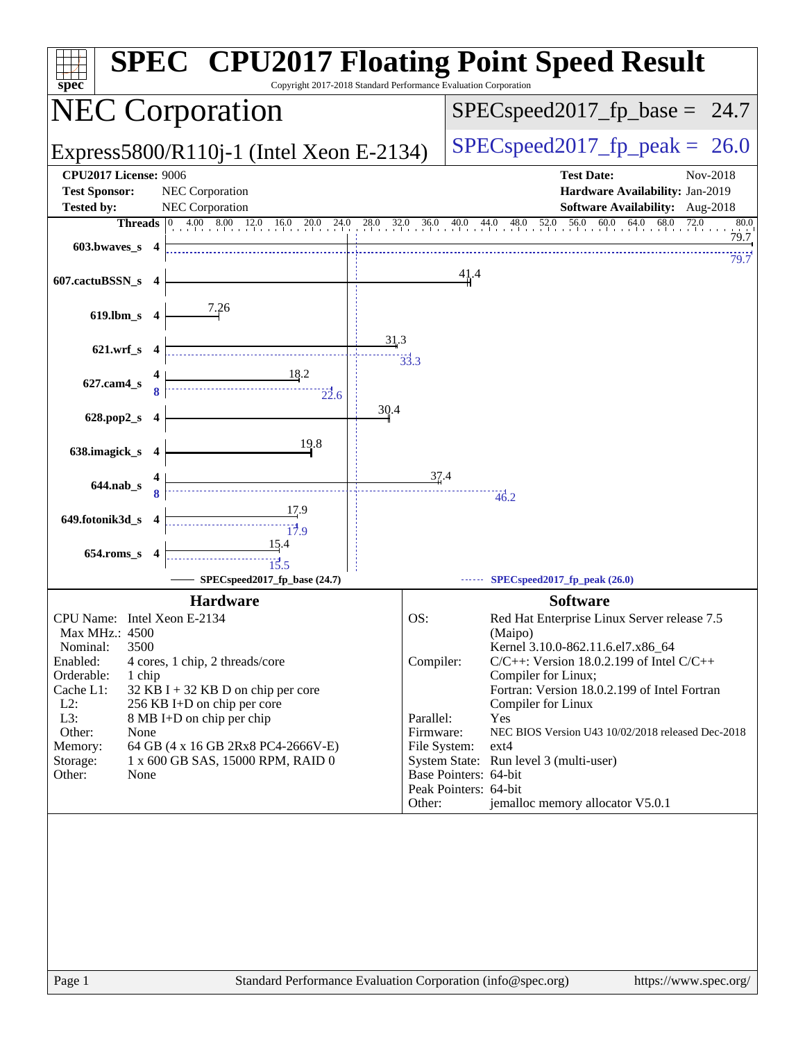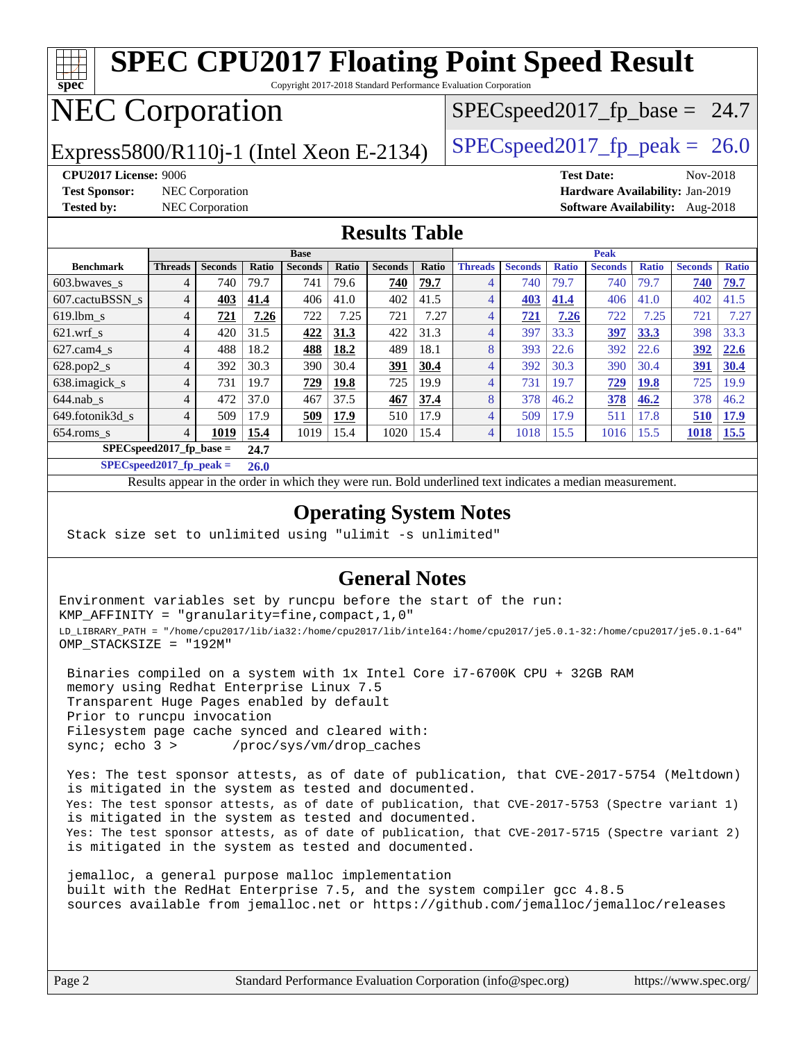#### **[spec](http://www.spec.org/) [SPEC CPU2017 Floating Point Speed Result](http://www.spec.org/auto/cpu2017/Docs/result-fields.html#SPECCPU2017FloatingPointSpeedResult)** Copyright 2017-2018 Standard Performance Evaluation Corporation NEC Corporation Express5800/R110j-1 (Intel Xeon E-2134) [SPECspeed2017\\_fp\\_peak =](http://www.spec.org/auto/cpu2017/Docs/result-fields.html#SPECspeed2017fppeak) 26.0  $SPECspeed2017_fp\_base = 24.7$ **[CPU2017 License:](http://www.spec.org/auto/cpu2017/Docs/result-fields.html#CPU2017License)** 9006 **[Test Date:](http://www.spec.org/auto/cpu2017/Docs/result-fields.html#TestDate)** Nov-2018 **[Test Sponsor:](http://www.spec.org/auto/cpu2017/Docs/result-fields.html#TestSponsor)** NEC Corporation **[Hardware Availability:](http://www.spec.org/auto/cpu2017/Docs/result-fields.html#HardwareAvailability)** Jan-2019 **[Tested by:](http://www.spec.org/auto/cpu2017/Docs/result-fields.html#Testedby)** NEC Corporation **[Software Availability:](http://www.spec.org/auto/cpu2017/Docs/result-fields.html#SoftwareAvailability)** Aug-2018 **[Results Table](http://www.spec.org/auto/cpu2017/Docs/result-fields.html#ResultsTable) [Benchmark](http://www.spec.org/auto/cpu2017/Docs/result-fields.html#Benchmark) [Threads](http://www.spec.org/auto/cpu2017/Docs/result-fields.html#Threads) [Seconds](http://www.spec.org/auto/cpu2017/Docs/result-fields.html#Seconds) [Ratio](http://www.spec.org/auto/cpu2017/Docs/result-fields.html#Ratio) [Seconds](http://www.spec.org/auto/cpu2017/Docs/result-fields.html#Seconds) [Ratio](http://www.spec.org/auto/cpu2017/Docs/result-fields.html#Ratio) [Seconds](http://www.spec.org/auto/cpu2017/Docs/result-fields.html#Seconds) [Ratio](http://www.spec.org/auto/cpu2017/Docs/result-fields.html#Ratio) Base [Threads](http://www.spec.org/auto/cpu2017/Docs/result-fields.html#Threads) [Seconds](http://www.spec.org/auto/cpu2017/Docs/result-fields.html#Seconds) [Ratio](http://www.spec.org/auto/cpu2017/Docs/result-fields.html#Ratio) [Seconds](http://www.spec.org/auto/cpu2017/Docs/result-fields.html#Seconds) [Ratio](http://www.spec.org/auto/cpu2017/Docs/result-fields.html#Ratio) [Seconds](http://www.spec.org/auto/cpu2017/Docs/result-fields.html#Seconds) [Ratio](http://www.spec.org/auto/cpu2017/Docs/result-fields.html#Ratio) Peak** [603.bwaves\\_s](http://www.spec.org/auto/cpu2017/Docs/benchmarks/603.bwaves_s.html) 4 740 79.7 741 79.6 **[740](http://www.spec.org/auto/cpu2017/Docs/result-fields.html#Median) [79.7](http://www.spec.org/auto/cpu2017/Docs/result-fields.html#Median)** 4 740 79.7 740 79.7 **[740](http://www.spec.org/auto/cpu2017/Docs/result-fields.html#Median) [79.7](http://www.spec.org/auto/cpu2017/Docs/result-fields.html#Median)** [607.cactuBSSN\\_s](http://www.spec.org/auto/cpu2017/Docs/benchmarks/607.cactuBSSN_s.html) 4 **[403](http://www.spec.org/auto/cpu2017/Docs/result-fields.html#Median) [41.4](http://www.spec.org/auto/cpu2017/Docs/result-fields.html#Median)** 406 41.0 402 41.5 4 **[403](http://www.spec.org/auto/cpu2017/Docs/result-fields.html#Median) [41.4](http://www.spec.org/auto/cpu2017/Docs/result-fields.html#Median)** 406 41.0 402 41.5 [619.lbm\\_s](http://www.spec.org/auto/cpu2017/Docs/benchmarks/619.lbm_s.html) 4 **[721](http://www.spec.org/auto/cpu2017/Docs/result-fields.html#Median) [7.26](http://www.spec.org/auto/cpu2017/Docs/result-fields.html#Median)** 722 7.25 721 7.27 4 **[721](http://www.spec.org/auto/cpu2017/Docs/result-fields.html#Median) [7.26](http://www.spec.org/auto/cpu2017/Docs/result-fields.html#Median)** 722 7.25 721 7.27 [621.wrf\\_s](http://www.spec.org/auto/cpu2017/Docs/benchmarks/621.wrf_s.html) 4 420 31.5 **[422](http://www.spec.org/auto/cpu2017/Docs/result-fields.html#Median) [31.3](http://www.spec.org/auto/cpu2017/Docs/result-fields.html#Median)** 422 31.3 4 397 33.3 **[397](http://www.spec.org/auto/cpu2017/Docs/result-fields.html#Median) [33.3](http://www.spec.org/auto/cpu2017/Docs/result-fields.html#Median)** 398 33.3 [627.cam4\\_s](http://www.spec.org/auto/cpu2017/Docs/benchmarks/627.cam4_s.html) 4 488 18.2 **[488](http://www.spec.org/auto/cpu2017/Docs/result-fields.html#Median) [18.2](http://www.spec.org/auto/cpu2017/Docs/result-fields.html#Median)** 489 18.1 8 393 22.6 392 22.6 **[392](http://www.spec.org/auto/cpu2017/Docs/result-fields.html#Median) [22.6](http://www.spec.org/auto/cpu2017/Docs/result-fields.html#Median)** [628.pop2\\_s](http://www.spec.org/auto/cpu2017/Docs/benchmarks/628.pop2_s.html) 4 392 30.3 390 30.4 **[391](http://www.spec.org/auto/cpu2017/Docs/result-fields.html#Median) [30.4](http://www.spec.org/auto/cpu2017/Docs/result-fields.html#Median)** 4 392 30.3 390 30.4 **[391](http://www.spec.org/auto/cpu2017/Docs/result-fields.html#Median) [30.4](http://www.spec.org/auto/cpu2017/Docs/result-fields.html#Median)** [638.imagick\\_s](http://www.spec.org/auto/cpu2017/Docs/benchmarks/638.imagick_s.html) 4 731 19.7 **[729](http://www.spec.org/auto/cpu2017/Docs/result-fields.html#Median) [19.8](http://www.spec.org/auto/cpu2017/Docs/result-fields.html#Median)** 725 19.9 4 731 19.7 **[729](http://www.spec.org/auto/cpu2017/Docs/result-fields.html#Median) [19.8](http://www.spec.org/auto/cpu2017/Docs/result-fields.html#Median)** 725 19.9 [644.nab\\_s](http://www.spec.org/auto/cpu2017/Docs/benchmarks/644.nab_s.html) 4 472 37.0 467 37.5 **[467](http://www.spec.org/auto/cpu2017/Docs/result-fields.html#Median) [37.4](http://www.spec.org/auto/cpu2017/Docs/result-fields.html#Median)** 8 378 46.2 **[378](http://www.spec.org/auto/cpu2017/Docs/result-fields.html#Median) [46.2](http://www.spec.org/auto/cpu2017/Docs/result-fields.html#Median)** 378 46.2 [649.fotonik3d\\_s](http://www.spec.org/auto/cpu2017/Docs/benchmarks/649.fotonik3d_s.html) 4 509 17.9 **[509](http://www.spec.org/auto/cpu2017/Docs/result-fields.html#Median) [17.9](http://www.spec.org/auto/cpu2017/Docs/result-fields.html#Median)** 510 17.9 4 509 17.9 511 17.8 **[510](http://www.spec.org/auto/cpu2017/Docs/result-fields.html#Median) [17.9](http://www.spec.org/auto/cpu2017/Docs/result-fields.html#Median)**

[654.roms\\_s](http://www.spec.org/auto/cpu2017/Docs/benchmarks/654.roms_s.html) 4 **[1019](http://www.spec.org/auto/cpu2017/Docs/result-fields.html#Median) [15.4](http://www.spec.org/auto/cpu2017/Docs/result-fields.html#Median)** 1019 15.4 1020 15.4 4 1018 15.5 1016 15.5 **[1018](http://www.spec.org/auto/cpu2017/Docs/result-fields.html#Median) [15.5](http://www.spec.org/auto/cpu2017/Docs/result-fields.html#Median) [SPECspeed2017\\_fp\\_base =](http://www.spec.org/auto/cpu2017/Docs/result-fields.html#SPECspeed2017fpbase) 24.7**

**[SPECspeed2017\\_fp\\_peak =](http://www.spec.org/auto/cpu2017/Docs/result-fields.html#SPECspeed2017fppeak) 26.0**

Results appear in the [order in which they were run.](http://www.spec.org/auto/cpu2017/Docs/result-fields.html#RunOrder) Bold underlined text [indicates a median measurement](http://www.spec.org/auto/cpu2017/Docs/result-fields.html#Median).

### **[Operating System Notes](http://www.spec.org/auto/cpu2017/Docs/result-fields.html#OperatingSystemNotes)**

Stack size set to unlimited using "ulimit -s unlimited"

### **[General Notes](http://www.spec.org/auto/cpu2017/Docs/result-fields.html#GeneralNotes)**

Environment variables set by runcpu before the start of the run: KMP\_AFFINITY = "granularity=fine,compact,1,0" LD\_LIBRARY\_PATH = "/home/cpu2017/lib/ia32:/home/cpu2017/lib/intel64:/home/cpu2017/je5.0.1-32:/home/cpu2017/je5.0.1-64" OMP\_STACKSIZE = "192M"

 Binaries compiled on a system with 1x Intel Core i7-6700K CPU + 32GB RAM memory using Redhat Enterprise Linux 7.5 Transparent Huge Pages enabled by default Prior to runcpu invocation Filesystem page cache synced and cleared with: sync; echo 3 > /proc/sys/vm/drop\_caches

 Yes: The test sponsor attests, as of date of publication, that CVE-2017-5754 (Meltdown) is mitigated in the system as tested and documented. Yes: The test sponsor attests, as of date of publication, that CVE-2017-5753 (Spectre variant 1) is mitigated in the system as tested and documented. Yes: The test sponsor attests, as of date of publication, that CVE-2017-5715 (Spectre variant 2) is mitigated in the system as tested and documented.

 jemalloc, a general purpose malloc implementation built with the RedHat Enterprise 7.5, and the system compiler gcc 4.8.5 sources available from jemalloc.net or <https://github.com/jemalloc/jemalloc/releases>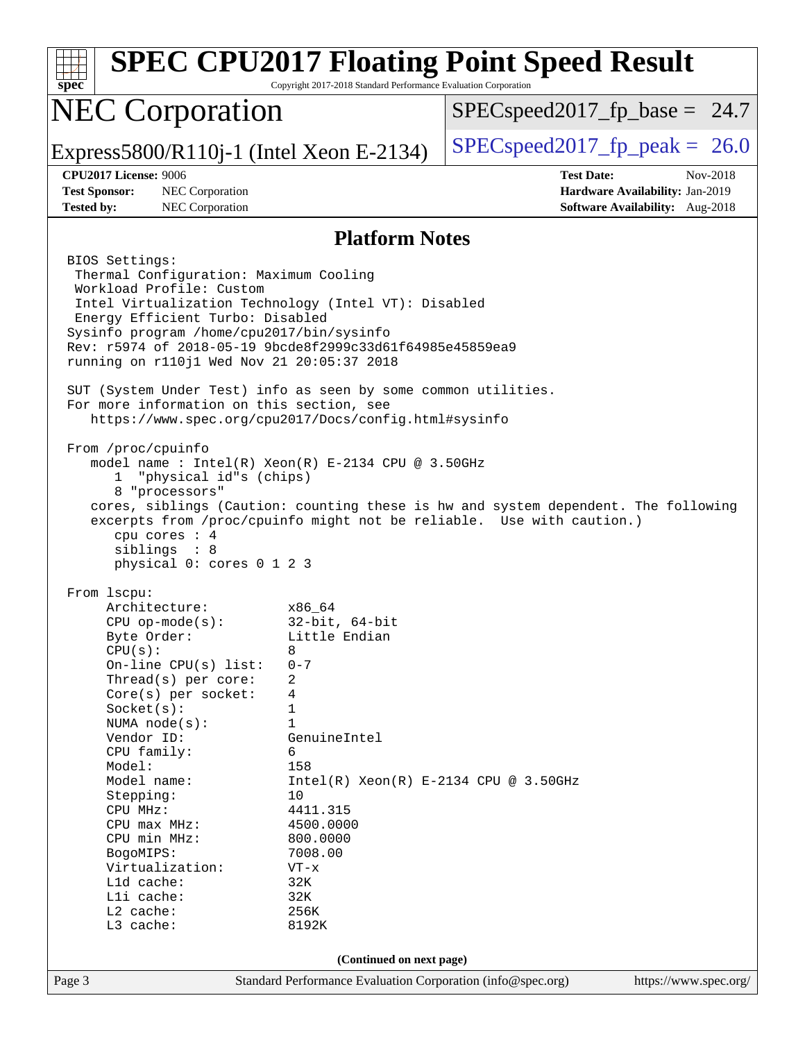| spec <sup>®</sup>                                                                                                                                                                                                                                                                                                                                                                                                                                                                                                                                                                                                                                                                                                           | Copyright 2017-2018 Standard Performance Evaluation Corporation                                                                                                                                                                                                        | <b>SPEC CPU2017 Floating Point Speed Result</b>                                                                                                             |  |
|-----------------------------------------------------------------------------------------------------------------------------------------------------------------------------------------------------------------------------------------------------------------------------------------------------------------------------------------------------------------------------------------------------------------------------------------------------------------------------------------------------------------------------------------------------------------------------------------------------------------------------------------------------------------------------------------------------------------------------|------------------------------------------------------------------------------------------------------------------------------------------------------------------------------------------------------------------------------------------------------------------------|-------------------------------------------------------------------------------------------------------------------------------------------------------------|--|
| <b>NEC Corporation</b>                                                                                                                                                                                                                                                                                                                                                                                                                                                                                                                                                                                                                                                                                                      |                                                                                                                                                                                                                                                                        | $SPEC speed2017_fp\_base = 24.7$                                                                                                                            |  |
| Express5800/R110j-1 (Intel Xeon E-2134)                                                                                                                                                                                                                                                                                                                                                                                                                                                                                                                                                                                                                                                                                     |                                                                                                                                                                                                                                                                        | $SPEC speed2017_fp\_peak = 26.0$                                                                                                                            |  |
| <b>CPU2017 License: 9006</b>                                                                                                                                                                                                                                                                                                                                                                                                                                                                                                                                                                                                                                                                                                |                                                                                                                                                                                                                                                                        | <b>Test Date:</b><br>Nov-2018                                                                                                                               |  |
| <b>Test Sponsor:</b><br>NEC Corporation<br><b>Tested by:</b><br>NEC Corporation                                                                                                                                                                                                                                                                                                                                                                                                                                                                                                                                                                                                                                             |                                                                                                                                                                                                                                                                        | Hardware Availability: Jan-2019<br>Software Availability: Aug-2018                                                                                          |  |
|                                                                                                                                                                                                                                                                                                                                                                                                                                                                                                                                                                                                                                                                                                                             | <b>Platform Notes</b>                                                                                                                                                                                                                                                  |                                                                                                                                                             |  |
| BIOS Settings:<br>Thermal Configuration: Maximum Cooling<br>Workload Profile: Custom<br>Intel Virtualization Technology (Intel VT): Disabled<br>Energy Efficient Turbo: Disabled<br>Sysinfo program /home/cpu2017/bin/sysinfo<br>Rev: r5974 of 2018-05-19 9bcde8f2999c33d61f64985e45859ea9<br>running on r110j1 Wed Nov 21 20:05:37 2018<br>SUT (System Under Test) info as seen by some common utilities.<br>For more information on this section, see<br>https://www.spec.org/cpu2017/Docs/config.html#sysinfo<br>From /proc/cpuinfo<br>model name : $Intel(R)$ Xeon $(R)$ E-2134 CPU @ 3.50GHz<br>"physical id"s (chips)<br>$\mathbf{1}$<br>8 "processors"<br>cpu cores : 4<br>siblings : 8<br>physical 0: cores 0 1 2 3 |                                                                                                                                                                                                                                                                        | cores, siblings (Caution: counting these is hw and system dependent. The following<br>excerpts from /proc/cpuinfo might not be reliable. Use with caution.) |  |
| From 1scpu:<br>Architecture:<br>$CPU$ op-mode( $s$ ):<br>Byte Order:<br>CPU(s):<br>On-line CPU $(s)$ list:<br>Thread(s) per core:<br>Core(s) per socket:<br>Socket(s):<br>NUMA node(s):<br>Vendor ID:<br>CPU family:<br>Model:<br>Model name:<br>Stepping:<br>CPU MHz:<br>CPU max MHz:<br>CPU min MHz:<br>BogoMIPS:<br>Virtualization:<br>L1d cache:<br>Lli cache:<br>L2 cache:<br>L3 cache:                                                                                                                                                                                                                                                                                                                                | x86 64<br>$32$ -bit, $64$ -bit<br>Little Endian<br>8<br>$0 - 7$<br>2<br>4<br>1<br>$\mathbf{1}$<br>GenuineIntel<br>6<br>158<br>$Intel(R) Xeon(R) E-2134 CPU @ 3.50GHz$<br>10<br>4411.315<br>4500.0000<br>800.0000<br>7008.00<br>$VT - x$<br>32K<br>32K<br>256K<br>8192K |                                                                                                                                                             |  |
| (Continued on next page)                                                                                                                                                                                                                                                                                                                                                                                                                                                                                                                                                                                                                                                                                                    |                                                                                                                                                                                                                                                                        |                                                                                                                                                             |  |
| Page 3                                                                                                                                                                                                                                                                                                                                                                                                                                                                                                                                                                                                                                                                                                                      | Standard Performance Evaluation Corporation (info@spec.org)                                                                                                                                                                                                            | https://www.spec.org/                                                                                                                                       |  |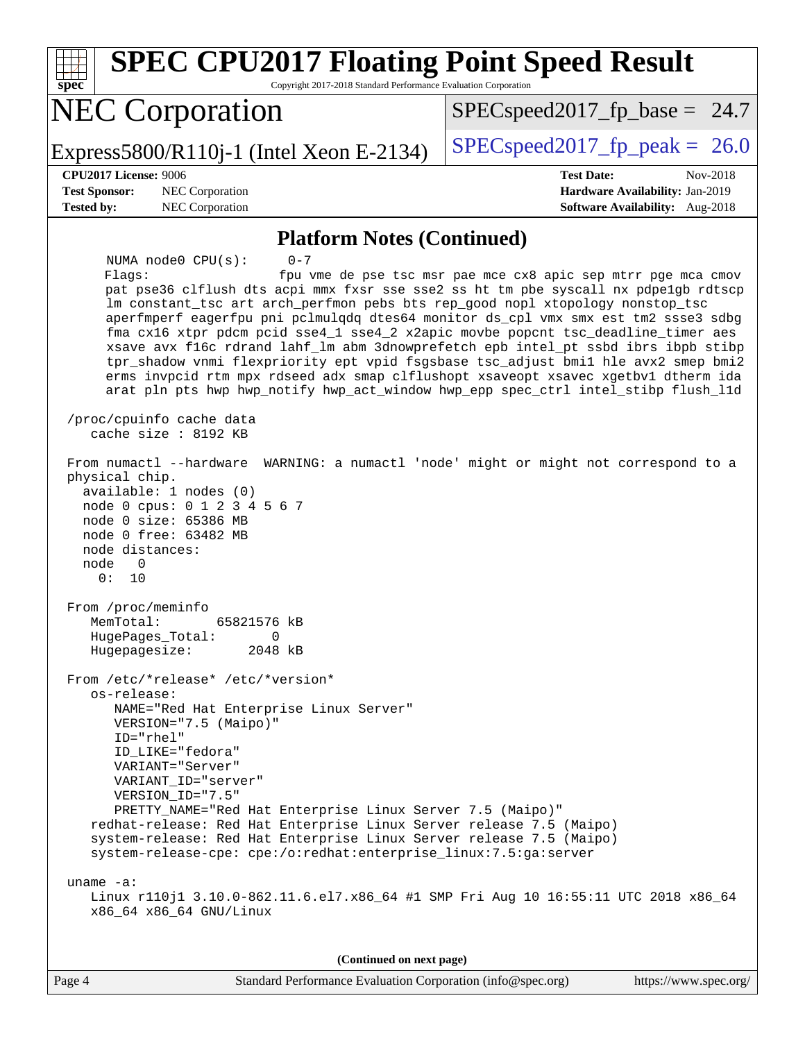| <b>SPEC CPU2017 Floating Point Speed Result</b><br>Copyright 2017-2018 Standard Performance Evaluation Corporation<br>$spec^*$                                                                                                                                                                                                                                                                                                                                                                                                                                                                                                                                                                                                                                                                                                                                                                                                                                                                                                                                                                                                                                                             |                                                                  |  |  |
|--------------------------------------------------------------------------------------------------------------------------------------------------------------------------------------------------------------------------------------------------------------------------------------------------------------------------------------------------------------------------------------------------------------------------------------------------------------------------------------------------------------------------------------------------------------------------------------------------------------------------------------------------------------------------------------------------------------------------------------------------------------------------------------------------------------------------------------------------------------------------------------------------------------------------------------------------------------------------------------------------------------------------------------------------------------------------------------------------------------------------------------------------------------------------------------------|------------------------------------------------------------------|--|--|
| <b>NEC Corporation</b>                                                                                                                                                                                                                                                                                                                                                                                                                                                                                                                                                                                                                                                                                                                                                                                                                                                                                                                                                                                                                                                                                                                                                                     | $SPEC speed2017_fp\_base = 24.7$                                 |  |  |
| Express5800/R110j-1 (Intel Xeon E-2134)                                                                                                                                                                                                                                                                                                                                                                                                                                                                                                                                                                                                                                                                                                                                                                                                                                                                                                                                                                                                                                                                                                                                                    | $SPEC speed2017_fp\_peak = 26.0$                                 |  |  |
| <b>CPU2017 License: 9006</b><br>NEC Corporation<br><b>Test Sponsor:</b>                                                                                                                                                                                                                                                                                                                                                                                                                                                                                                                                                                                                                                                                                                                                                                                                                                                                                                                                                                                                                                                                                                                    | <b>Test Date:</b><br>Nov-2018<br>Hardware Availability: Jan-2019 |  |  |
| <b>Tested by:</b><br>NEC Corporation                                                                                                                                                                                                                                                                                                                                                                                                                                                                                                                                                                                                                                                                                                                                                                                                                                                                                                                                                                                                                                                                                                                                                       | Software Availability: Aug-2018                                  |  |  |
| <b>Platform Notes (Continued)</b>                                                                                                                                                                                                                                                                                                                                                                                                                                                                                                                                                                                                                                                                                                                                                                                                                                                                                                                                                                                                                                                                                                                                                          |                                                                  |  |  |
| NUMA node0 CPU(s):<br>$0 - 7$<br>Flagg:<br>pat pse36 clflush dts acpi mmx fxsr sse sse2 ss ht tm pbe syscall nx pdpelgb rdtscp<br>lm constant_tsc art arch_perfmon pebs bts rep_good nopl xtopology nonstop_tsc<br>aperfmperf eagerfpu pni pclmulqdq dtes64 monitor ds_cpl vmx smx est tm2 ssse3 sdbg<br>fma cx16 xtpr pdcm pcid sse4_1 sse4_2 x2apic movbe popcnt tsc_deadline_timer aes<br>xsave avx f16c rdrand lahf_lm abm 3dnowprefetch epb intel_pt ssbd ibrs ibpb stibp<br>tpr_shadow vnmi flexpriority ept vpid fsgsbase tsc_adjust bmil hle avx2 smep bmi2<br>erms invpcid rtm mpx rdseed adx smap clflushopt xsaveopt xsavec xgetbvl dtherm ida<br>arat pln pts hwp hwp_notify hwp_act_window hwp_epp spec_ctrl intel_stibp flush_l1d<br>/proc/cpuinfo cache data<br>cache size : 8192 KB<br>From numactl --hardware WARNING: a numactl 'node' might or might not correspond to a<br>physical chip.<br>available: 1 nodes (0)<br>node 0 cpus: 0 1 2 3 4 5 6 7<br>node 0 size: 65386 MB<br>node 0 free: 63482 MB<br>node distances:<br>0<br>node<br>0 :<br>10<br>From /proc/meminfo<br>65821576 kB<br>MemTotal:<br>HugePages_Total:<br>$\overline{0}$<br>Hugepagesize:<br>2048 kB | fpu vme de pse tsc msr pae mce cx8 apic sep mtrr pge mca cmov    |  |  |
| From /etc/*release* /etc/*version*<br>os-release:<br>NAME="Red Hat Enterprise Linux Server"<br>VERSION="7.5 (Maipo)"<br>ID="rhel"<br>ID_LIKE="fedora"<br>VARIANT="Server"<br>VARIANT_ID="server"<br>VERSION_ID="7.5"<br>PRETTY_NAME="Red Hat Enterprise Linux Server 7.5 (Maipo)"<br>redhat-release: Red Hat Enterprise Linux Server release 7.5 (Maipo)<br>system-release: Red Hat Enterprise Linux Server release 7.5 (Maipo)<br>system-release-cpe: cpe:/o:redhat:enterprise_linux:7.5:ga:server<br>uname $-a$ :<br>Linux r110j1 3.10.0-862.11.6.el7.x86_64 #1 SMP Fri Aug 10 16:55:11 UTC 2018 x86_64<br>x86_64 x86_64 GNU/Linux<br>(Continued on next page)                                                                                                                                                                                                                                                                                                                                                                                                                                                                                                                           |                                                                  |  |  |
|                                                                                                                                                                                                                                                                                                                                                                                                                                                                                                                                                                                                                                                                                                                                                                                                                                                                                                                                                                                                                                                                                                                                                                                            |                                                                  |  |  |

Page 4 Standard Performance Evaluation Corporation [\(info@spec.org\)](mailto:info@spec.org) <https://www.spec.org/>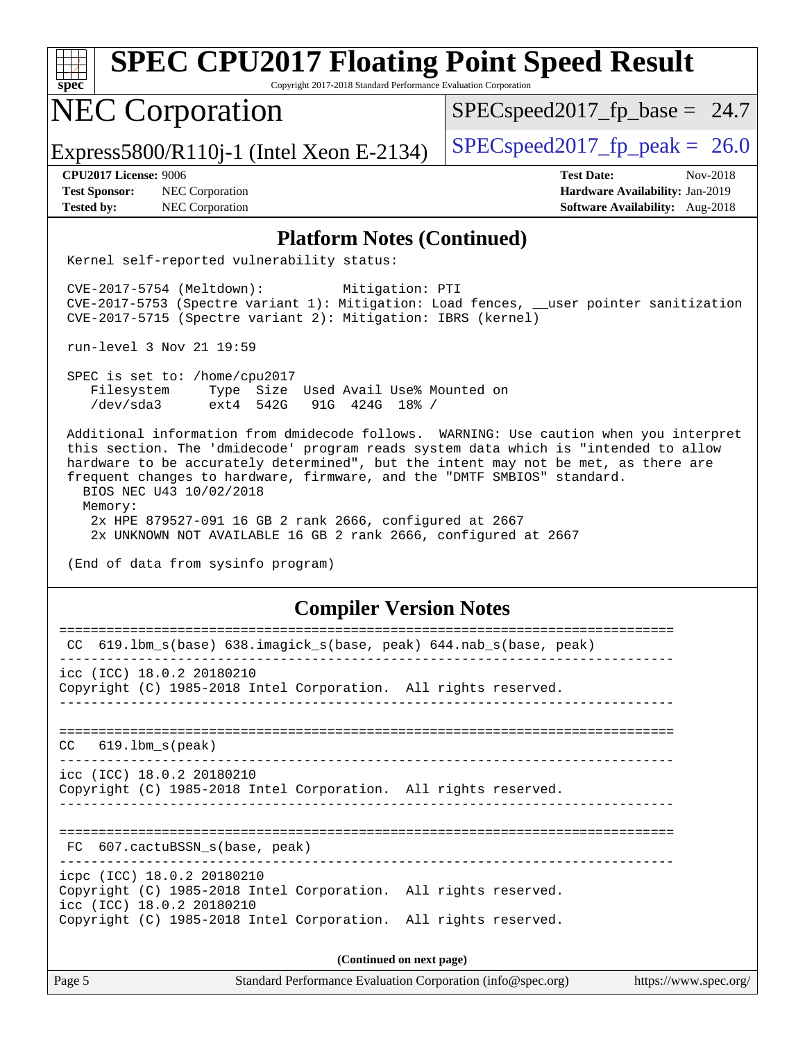| <b>SPEC CPU2017 Floating Point Speed Result</b><br>Spec<br>Copyright 2017-2018 Standard Performance Evaluation Corporation                                                                                                                                                                                                                                                                                                                                                                                                                              |                                                                                                            |  |  |
|---------------------------------------------------------------------------------------------------------------------------------------------------------------------------------------------------------------------------------------------------------------------------------------------------------------------------------------------------------------------------------------------------------------------------------------------------------------------------------------------------------------------------------------------------------|------------------------------------------------------------------------------------------------------------|--|--|
| <b>NEC Corporation</b>                                                                                                                                                                                                                                                                                                                                                                                                                                                                                                                                  | $SPEC speed2017_fp\_base = 24.7$                                                                           |  |  |
| Express5800/R110j-1 (Intel Xeon E-2134)                                                                                                                                                                                                                                                                                                                                                                                                                                                                                                                 | $SPEC speed2017fp peak = 26.0$                                                                             |  |  |
| <b>CPU2017 License: 9006</b><br><b>Test Sponsor:</b><br>NEC Corporation<br><b>Tested by:</b><br><b>NEC Corporation</b>                                                                                                                                                                                                                                                                                                                                                                                                                                  | <b>Test Date:</b><br>Nov-2018<br>Hardware Availability: Jan-2019<br><b>Software Availability:</b> Aug-2018 |  |  |
| <b>Platform Notes (Continued)</b>                                                                                                                                                                                                                                                                                                                                                                                                                                                                                                                       |                                                                                                            |  |  |
| Kernel self-reported vulnerability status:                                                                                                                                                                                                                                                                                                                                                                                                                                                                                                              |                                                                                                            |  |  |
| $CVE-2017-5754$ (Meltdown):<br>Mitigation: PTI<br>CVE-2017-5753 (Spectre variant 1): Mitigation: Load fences, __user pointer sanitization<br>CVE-2017-5715 (Spectre variant 2): Mitigation: IBRS (kernel)                                                                                                                                                                                                                                                                                                                                               |                                                                                                            |  |  |
| run-level 3 Nov 21 19:59                                                                                                                                                                                                                                                                                                                                                                                                                                                                                                                                |                                                                                                            |  |  |
| SPEC is set to: /home/cpu2017<br>Filesystem<br>Type Size Used Avail Use% Mounted on<br>/dev/sda3<br>$ext4$ 542G<br>91G 424G 18% /                                                                                                                                                                                                                                                                                                                                                                                                                       |                                                                                                            |  |  |
| Additional information from dmidecode follows. WARNING: Use caution when you interpret<br>this section. The 'dmidecode' program reads system data which is "intended to allow<br>hardware to be accurately determined", but the intent may not be met, as there are<br>frequent changes to hardware, firmware, and the "DMTF SMBIOS" standard.<br>BIOS NEC U43 10/02/2018<br>Memory:<br>2x HPE 879527-091 16 GB 2 rank 2666, configured at 2667<br>2x UNKNOWN NOT AVAILABLE 16 GB 2 rank 2666, configured at 2667<br>(End of data from sysinfo program) |                                                                                                            |  |  |
| <b>Compiler Version Notes</b>                                                                                                                                                                                                                                                                                                                                                                                                                                                                                                                           |                                                                                                            |  |  |
| CC 619.1bm_s(base) 638.imagick_s(base, peak) 644.nab_s(base, peak)                                                                                                                                                                                                                                                                                                                                                                                                                                                                                      |                                                                                                            |  |  |
| icc (ICC) 18.0.2 20180210<br>Copyright (C) 1985-2018 Intel Corporation. All rights reserved.                                                                                                                                                                                                                                                                                                                                                                                                                                                            |                                                                                                            |  |  |
| $CC$ $619.1bm_s(peak)$                                                                                                                                                                                                                                                                                                                                                                                                                                                                                                                                  |                                                                                                            |  |  |
| icc (ICC) 18.0.2 20180210<br>Copyright (C) 1985-2018 Intel Corporation. All rights reserved.<br>_________________________________                                                                                                                                                                                                                                                                                                                                                                                                                       |                                                                                                            |  |  |
| FC 607.cactuBSSN_s(base, peak)                                                                                                                                                                                                                                                                                                                                                                                                                                                                                                                          |                                                                                                            |  |  |
| icpc (ICC) 18.0.2 20180210<br>Copyright (C) 1985-2018 Intel Corporation. All rights reserved.<br>icc (ICC) 18.0.2 20180210<br>Copyright (C) 1985-2018 Intel Corporation. All rights reserved.                                                                                                                                                                                                                                                                                                                                                           |                                                                                                            |  |  |
|                                                                                                                                                                                                                                                                                                                                                                                                                                                                                                                                                         |                                                                                                            |  |  |
| (Continued on next page)<br>Page 5<br>Standard Performance Evaluation Corporation (info@spec.org)                                                                                                                                                                                                                                                                                                                                                                                                                                                       | https://www.spec.org/                                                                                      |  |  |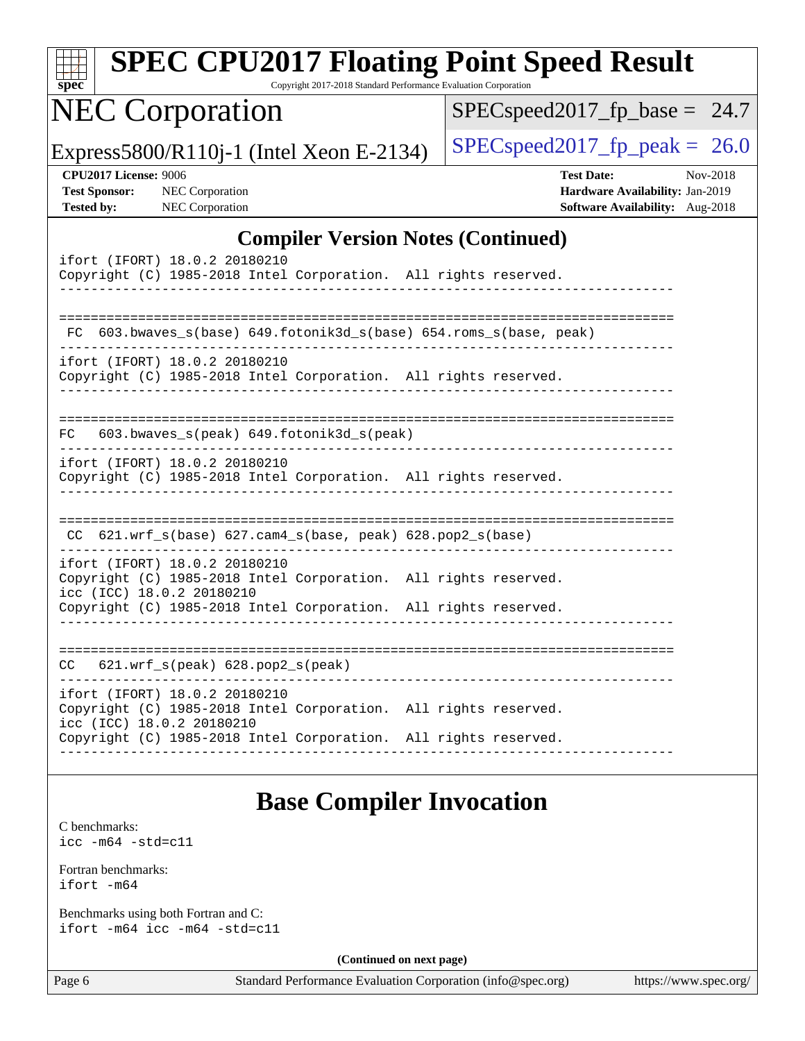| <b>SPEC CPU2017 Floating Point Speed Result</b>                                                                               |                                                                                                     |
|-------------------------------------------------------------------------------------------------------------------------------|-----------------------------------------------------------------------------------------------------|
| $spec^*$<br>Copyright 2017-2018 Standard Performance Evaluation Corporation                                                   |                                                                                                     |
| <b>NEC Corporation</b>                                                                                                        | $SPEC speed2017_fp\_base = 24.7$                                                                    |
| Express5800/R110 $i$ -1 (Intel Xeon E-2134)                                                                                   | $SPEC speed2017_fp\_peak = 26.0$                                                                    |
| <b>CPU2017 License: 9006</b><br><b>Test Sponsor:</b><br><b>NEC</b> Corporation<br>NEC Corporation<br><b>Tested by:</b>        | <b>Test Date:</b><br>Nov-2018<br>Hardware Availability: Jan-2019<br>Software Availability: Aug-2018 |
| <b>Compiler Version Notes (Continued)</b>                                                                                     |                                                                                                     |
| ifort (IFORT) 18.0.2 20180210<br>Copyright (C) 1985-2018 Intel Corporation. All rights reserved.                              |                                                                                                     |
| FC.                                                                                                                           |                                                                                                     |
| 603.bwaves_s(base) 649.fotonik3d_s(base) 654.roms_s(base, peak)<br>ifort (IFORT) 18.0.2 20180210                              |                                                                                                     |
| Copyright (C) 1985-2018 Intel Corporation. All rights reserved.                                                               |                                                                                                     |
| 603.bwaves_s(peak) 649.fotonik3d_s(peak)<br>FC.                                                                               |                                                                                                     |
| ifort (IFORT) 18.0.2 20180210<br>Copyright (C) 1985-2018 Intel Corporation. All rights reserved.                              |                                                                                                     |
| 621.wrf_s(base) 627.cam4_s(base, peak) 628.pop2_s(base)                                                                       |                                                                                                     |
| ifort (IFORT) 18.0.2 20180210<br>Copyright (C) 1985-2018 Intel Corporation. All rights reserved.<br>icc (ICC) 18.0.2 20180210 |                                                                                                     |
| Copyright (C) 1985-2018 Intel Corporation. All rights reserved.                                                               |                                                                                                     |
| $621.wrf_s(peak)$ $628.pop2_s(peak)$<br>CC.                                                                                   |                                                                                                     |
| ifort (IFORT) 18.0.2 20180210<br>Copyright (C) 1985-2018 Intel Corporation. All rights reserved.                              |                                                                                                     |
| icc (ICC) 18.0.2 20180210<br>Copyright (C) 1985-2018 Intel Corporation. All rights reserved.                                  |                                                                                                     |
| <b>Base Compiler Invocation</b>                                                                                               |                                                                                                     |
| C benchmarks:<br>$\text{icc -m64 -std=c11}$                                                                                   |                                                                                                     |
| Fortran benchmarks:<br>ifort -m64                                                                                             |                                                                                                     |
| Benchmarks using both Fortran and C:<br>ifort -m64 icc -m64 -std=c11                                                          |                                                                                                     |

**(Continued on next page)**

Page 6 Standard Performance Evaluation Corporation [\(info@spec.org\)](mailto:info@spec.org) <https://www.spec.org/>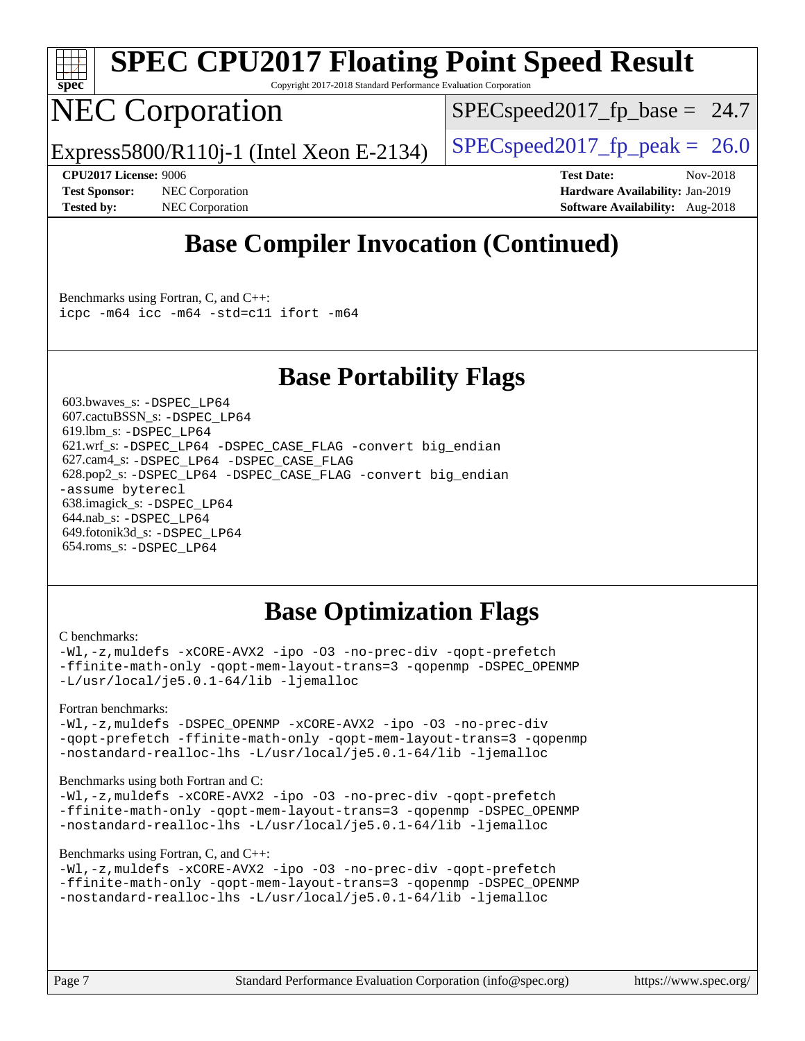

# **[SPEC CPU2017 Floating Point Speed Result](http://www.spec.org/auto/cpu2017/Docs/result-fields.html#SPECCPU2017FloatingPointSpeedResult)**

Copyright 2017-2018 Standard Performance Evaluation Corporation

## NEC Corporation

 $SPECspeed2017_fp\_base = 24.7$ 

Express5800/R110j-1 (Intel Xeon E-2134)  $\left|$  [SPECspeed2017\\_fp\\_peak =](http://www.spec.org/auto/cpu2017/Docs/result-fields.html#SPECspeed2017fppeak) 26.0

**[Test Sponsor:](http://www.spec.org/auto/cpu2017/Docs/result-fields.html#TestSponsor)** NEC Corporation **[Hardware Availability:](http://www.spec.org/auto/cpu2017/Docs/result-fields.html#HardwareAvailability)** Jan-2019 **[Tested by:](http://www.spec.org/auto/cpu2017/Docs/result-fields.html#Testedby)** NEC Corporation **[Software Availability:](http://www.spec.org/auto/cpu2017/Docs/result-fields.html#SoftwareAvailability)** Aug-2018

**[CPU2017 License:](http://www.spec.org/auto/cpu2017/Docs/result-fields.html#CPU2017License)** 9006 **[Test Date:](http://www.spec.org/auto/cpu2017/Docs/result-fields.html#TestDate)** Nov-2018

## **[Base Compiler Invocation \(Continued\)](http://www.spec.org/auto/cpu2017/Docs/result-fields.html#BaseCompilerInvocation)**

[Benchmarks using Fortran, C, and C++:](http://www.spec.org/auto/cpu2017/Docs/result-fields.html#BenchmarksusingFortranCandCXX) [icpc -m64](http://www.spec.org/cpu2017/results/res2018q4/cpu2017-20181210-10068.flags.html#user_CC_CXX_FCbase_intel_icpc_64bit_4ecb2543ae3f1412ef961e0650ca070fec7b7afdcd6ed48761b84423119d1bf6bdf5cad15b44d48e7256388bc77273b966e5eb805aefd121eb22e9299b2ec9d9) [icc -m64 -std=c11](http://www.spec.org/cpu2017/results/res2018q4/cpu2017-20181210-10068.flags.html#user_CC_CXX_FCbase_intel_icc_64bit_c11_33ee0cdaae7deeeab2a9725423ba97205ce30f63b9926c2519791662299b76a0318f32ddfffdc46587804de3178b4f9328c46fa7c2b0cd779d7a61945c91cd35) [ifort -m64](http://www.spec.org/cpu2017/results/res2018q4/cpu2017-20181210-10068.flags.html#user_CC_CXX_FCbase_intel_ifort_64bit_24f2bb282fbaeffd6157abe4f878425411749daecae9a33200eee2bee2fe76f3b89351d69a8130dd5949958ce389cf37ff59a95e7a40d588e8d3a57e0c3fd751)

## **[Base Portability Flags](http://www.spec.org/auto/cpu2017/Docs/result-fields.html#BasePortabilityFlags)**

 603.bwaves\_s: [-DSPEC\\_LP64](http://www.spec.org/cpu2017/results/res2018q4/cpu2017-20181210-10068.flags.html#suite_basePORTABILITY603_bwaves_s_DSPEC_LP64) 607.cactuBSSN\_s: [-DSPEC\\_LP64](http://www.spec.org/cpu2017/results/res2018q4/cpu2017-20181210-10068.flags.html#suite_basePORTABILITY607_cactuBSSN_s_DSPEC_LP64) 619.lbm\_s: [-DSPEC\\_LP64](http://www.spec.org/cpu2017/results/res2018q4/cpu2017-20181210-10068.flags.html#suite_basePORTABILITY619_lbm_s_DSPEC_LP64) 621.wrf\_s: [-DSPEC\\_LP64](http://www.spec.org/cpu2017/results/res2018q4/cpu2017-20181210-10068.flags.html#suite_basePORTABILITY621_wrf_s_DSPEC_LP64) [-DSPEC\\_CASE\\_FLAG](http://www.spec.org/cpu2017/results/res2018q4/cpu2017-20181210-10068.flags.html#b621.wrf_s_baseCPORTABILITY_DSPEC_CASE_FLAG) [-convert big\\_endian](http://www.spec.org/cpu2017/results/res2018q4/cpu2017-20181210-10068.flags.html#user_baseFPORTABILITY621_wrf_s_convert_big_endian_c3194028bc08c63ac5d04de18c48ce6d347e4e562e8892b8bdbdc0214820426deb8554edfa529a3fb25a586e65a3d812c835984020483e7e73212c4d31a38223) 627.cam4\_s: [-DSPEC\\_LP64](http://www.spec.org/cpu2017/results/res2018q4/cpu2017-20181210-10068.flags.html#suite_basePORTABILITY627_cam4_s_DSPEC_LP64) [-DSPEC\\_CASE\\_FLAG](http://www.spec.org/cpu2017/results/res2018q4/cpu2017-20181210-10068.flags.html#b627.cam4_s_baseCPORTABILITY_DSPEC_CASE_FLAG) 628.pop2\_s: [-DSPEC\\_LP64](http://www.spec.org/cpu2017/results/res2018q4/cpu2017-20181210-10068.flags.html#suite_basePORTABILITY628_pop2_s_DSPEC_LP64) [-DSPEC\\_CASE\\_FLAG](http://www.spec.org/cpu2017/results/res2018q4/cpu2017-20181210-10068.flags.html#b628.pop2_s_baseCPORTABILITY_DSPEC_CASE_FLAG) [-convert big\\_endian](http://www.spec.org/cpu2017/results/res2018q4/cpu2017-20181210-10068.flags.html#user_baseFPORTABILITY628_pop2_s_convert_big_endian_c3194028bc08c63ac5d04de18c48ce6d347e4e562e8892b8bdbdc0214820426deb8554edfa529a3fb25a586e65a3d812c835984020483e7e73212c4d31a38223) [-assume byterecl](http://www.spec.org/cpu2017/results/res2018q4/cpu2017-20181210-10068.flags.html#user_baseFPORTABILITY628_pop2_s_assume_byterecl_7e47d18b9513cf18525430bbf0f2177aa9bf368bc7a059c09b2c06a34b53bd3447c950d3f8d6c70e3faf3a05c8557d66a5798b567902e8849adc142926523472) 638.imagick\_s: [-DSPEC\\_LP64](http://www.spec.org/cpu2017/results/res2018q4/cpu2017-20181210-10068.flags.html#suite_basePORTABILITY638_imagick_s_DSPEC_LP64) 644.nab\_s: [-DSPEC\\_LP64](http://www.spec.org/cpu2017/results/res2018q4/cpu2017-20181210-10068.flags.html#suite_basePORTABILITY644_nab_s_DSPEC_LP64) 649.fotonik3d\_s: [-DSPEC\\_LP64](http://www.spec.org/cpu2017/results/res2018q4/cpu2017-20181210-10068.flags.html#suite_basePORTABILITY649_fotonik3d_s_DSPEC_LP64) 654.roms\_s: [-DSPEC\\_LP64](http://www.spec.org/cpu2017/results/res2018q4/cpu2017-20181210-10068.flags.html#suite_basePORTABILITY654_roms_s_DSPEC_LP64)

## **[Base Optimization Flags](http://www.spec.org/auto/cpu2017/Docs/result-fields.html#BaseOptimizationFlags)**

#### [C benchmarks](http://www.spec.org/auto/cpu2017/Docs/result-fields.html#Cbenchmarks):

[-Wl,-z,muldefs](http://www.spec.org/cpu2017/results/res2018q4/cpu2017-20181210-10068.flags.html#user_CCbase_link_force_multiple1_b4cbdb97b34bdee9ceefcfe54f4c8ea74255f0b02a4b23e853cdb0e18eb4525ac79b5a88067c842dd0ee6996c24547a27a4b99331201badda8798ef8a743f577) [-xCORE-AVX2](http://www.spec.org/cpu2017/results/res2018q4/cpu2017-20181210-10068.flags.html#user_CCbase_f-xCORE-AVX2) [-ipo](http://www.spec.org/cpu2017/results/res2018q4/cpu2017-20181210-10068.flags.html#user_CCbase_f-ipo) [-O3](http://www.spec.org/cpu2017/results/res2018q4/cpu2017-20181210-10068.flags.html#user_CCbase_f-O3) [-no-prec-div](http://www.spec.org/cpu2017/results/res2018q4/cpu2017-20181210-10068.flags.html#user_CCbase_f-no-prec-div) [-qopt-prefetch](http://www.spec.org/cpu2017/results/res2018q4/cpu2017-20181210-10068.flags.html#user_CCbase_f-qopt-prefetch) [-ffinite-math-only](http://www.spec.org/cpu2017/results/res2018q4/cpu2017-20181210-10068.flags.html#user_CCbase_f_finite_math_only_cb91587bd2077682c4b38af759c288ed7c732db004271a9512da14a4f8007909a5f1427ecbf1a0fb78ff2a814402c6114ac565ca162485bbcae155b5e4258871) [-qopt-mem-layout-trans=3](http://www.spec.org/cpu2017/results/res2018q4/cpu2017-20181210-10068.flags.html#user_CCbase_f-qopt-mem-layout-trans_de80db37974c74b1f0e20d883f0b675c88c3b01e9d123adea9b28688d64333345fb62bc4a798493513fdb68f60282f9a726aa07f478b2f7113531aecce732043) [-qopenmp](http://www.spec.org/cpu2017/results/res2018q4/cpu2017-20181210-10068.flags.html#user_CCbase_qopenmp_16be0c44f24f464004c6784a7acb94aca937f053568ce72f94b139a11c7c168634a55f6653758ddd83bcf7b8463e8028bb0b48b77bcddc6b78d5d95bb1df2967) [-DSPEC\\_OPENMP](http://www.spec.org/cpu2017/results/res2018q4/cpu2017-20181210-10068.flags.html#suite_CCbase_DSPEC_OPENMP) [-L/usr/local/je5.0.1-64/lib](http://www.spec.org/cpu2017/results/res2018q4/cpu2017-20181210-10068.flags.html#user_CCbase_jemalloc_link_path64_4b10a636b7bce113509b17f3bd0d6226c5fb2346b9178c2d0232c14f04ab830f976640479e5c33dc2bcbbdad86ecfb6634cbbd4418746f06f368b512fced5394) [-ljemalloc](http://www.spec.org/cpu2017/results/res2018q4/cpu2017-20181210-10068.flags.html#user_CCbase_jemalloc_link_lib_d1249b907c500fa1c0672f44f562e3d0f79738ae9e3c4a9c376d49f265a04b9c99b167ecedbf6711b3085be911c67ff61f150a17b3472be731631ba4d0471706)

#### [Fortran benchmarks](http://www.spec.org/auto/cpu2017/Docs/result-fields.html#Fortranbenchmarks):

[-Wl,-z,muldefs](http://www.spec.org/cpu2017/results/res2018q4/cpu2017-20181210-10068.flags.html#user_FCbase_link_force_multiple1_b4cbdb97b34bdee9ceefcfe54f4c8ea74255f0b02a4b23e853cdb0e18eb4525ac79b5a88067c842dd0ee6996c24547a27a4b99331201badda8798ef8a743f577) -DSPEC OPENMP [-xCORE-AVX2](http://www.spec.org/cpu2017/results/res2018q4/cpu2017-20181210-10068.flags.html#user_FCbase_f-xCORE-AVX2) [-ipo](http://www.spec.org/cpu2017/results/res2018q4/cpu2017-20181210-10068.flags.html#user_FCbase_f-ipo) [-O3](http://www.spec.org/cpu2017/results/res2018q4/cpu2017-20181210-10068.flags.html#user_FCbase_f-O3) [-no-prec-div](http://www.spec.org/cpu2017/results/res2018q4/cpu2017-20181210-10068.flags.html#user_FCbase_f-no-prec-div) [-qopt-prefetch](http://www.spec.org/cpu2017/results/res2018q4/cpu2017-20181210-10068.flags.html#user_FCbase_f-qopt-prefetch) [-ffinite-math-only](http://www.spec.org/cpu2017/results/res2018q4/cpu2017-20181210-10068.flags.html#user_FCbase_f_finite_math_only_cb91587bd2077682c4b38af759c288ed7c732db004271a9512da14a4f8007909a5f1427ecbf1a0fb78ff2a814402c6114ac565ca162485bbcae155b5e4258871) [-qopt-mem-layout-trans=3](http://www.spec.org/cpu2017/results/res2018q4/cpu2017-20181210-10068.flags.html#user_FCbase_f-qopt-mem-layout-trans_de80db37974c74b1f0e20d883f0b675c88c3b01e9d123adea9b28688d64333345fb62bc4a798493513fdb68f60282f9a726aa07f478b2f7113531aecce732043) [-qopenmp](http://www.spec.org/cpu2017/results/res2018q4/cpu2017-20181210-10068.flags.html#user_FCbase_qopenmp_16be0c44f24f464004c6784a7acb94aca937f053568ce72f94b139a11c7c168634a55f6653758ddd83bcf7b8463e8028bb0b48b77bcddc6b78d5d95bb1df2967) [-nostandard-realloc-lhs](http://www.spec.org/cpu2017/results/res2018q4/cpu2017-20181210-10068.flags.html#user_FCbase_f_2003_std_realloc_82b4557e90729c0f113870c07e44d33d6f5a304b4f63d4c15d2d0f1fab99f5daaed73bdb9275d9ae411527f28b936061aa8b9c8f2d63842963b95c9dd6426b8a) [-L/usr/local/je5.0.1-64/lib](http://www.spec.org/cpu2017/results/res2018q4/cpu2017-20181210-10068.flags.html#user_FCbase_jemalloc_link_path64_4b10a636b7bce113509b17f3bd0d6226c5fb2346b9178c2d0232c14f04ab830f976640479e5c33dc2bcbbdad86ecfb6634cbbd4418746f06f368b512fced5394) [-ljemalloc](http://www.spec.org/cpu2017/results/res2018q4/cpu2017-20181210-10068.flags.html#user_FCbase_jemalloc_link_lib_d1249b907c500fa1c0672f44f562e3d0f79738ae9e3c4a9c376d49f265a04b9c99b167ecedbf6711b3085be911c67ff61f150a17b3472be731631ba4d0471706)

#### [Benchmarks using both Fortran and C](http://www.spec.org/auto/cpu2017/Docs/result-fields.html#BenchmarksusingbothFortranandC):

[-Wl,-z,muldefs](http://www.spec.org/cpu2017/results/res2018q4/cpu2017-20181210-10068.flags.html#user_CC_FCbase_link_force_multiple1_b4cbdb97b34bdee9ceefcfe54f4c8ea74255f0b02a4b23e853cdb0e18eb4525ac79b5a88067c842dd0ee6996c24547a27a4b99331201badda8798ef8a743f577) [-xCORE-AVX2](http://www.spec.org/cpu2017/results/res2018q4/cpu2017-20181210-10068.flags.html#user_CC_FCbase_f-xCORE-AVX2) [-ipo](http://www.spec.org/cpu2017/results/res2018q4/cpu2017-20181210-10068.flags.html#user_CC_FCbase_f-ipo) [-O3](http://www.spec.org/cpu2017/results/res2018q4/cpu2017-20181210-10068.flags.html#user_CC_FCbase_f-O3) [-no-prec-div](http://www.spec.org/cpu2017/results/res2018q4/cpu2017-20181210-10068.flags.html#user_CC_FCbase_f-no-prec-div) [-qopt-prefetch](http://www.spec.org/cpu2017/results/res2018q4/cpu2017-20181210-10068.flags.html#user_CC_FCbase_f-qopt-prefetch) [-ffinite-math-only](http://www.spec.org/cpu2017/results/res2018q4/cpu2017-20181210-10068.flags.html#user_CC_FCbase_f_finite_math_only_cb91587bd2077682c4b38af759c288ed7c732db004271a9512da14a4f8007909a5f1427ecbf1a0fb78ff2a814402c6114ac565ca162485bbcae155b5e4258871) [-qopt-mem-layout-trans=3](http://www.spec.org/cpu2017/results/res2018q4/cpu2017-20181210-10068.flags.html#user_CC_FCbase_f-qopt-mem-layout-trans_de80db37974c74b1f0e20d883f0b675c88c3b01e9d123adea9b28688d64333345fb62bc4a798493513fdb68f60282f9a726aa07f478b2f7113531aecce732043) [-qopenmp](http://www.spec.org/cpu2017/results/res2018q4/cpu2017-20181210-10068.flags.html#user_CC_FCbase_qopenmp_16be0c44f24f464004c6784a7acb94aca937f053568ce72f94b139a11c7c168634a55f6653758ddd83bcf7b8463e8028bb0b48b77bcddc6b78d5d95bb1df2967) [-DSPEC\\_OPENMP](http://www.spec.org/cpu2017/results/res2018q4/cpu2017-20181210-10068.flags.html#suite_CC_FCbase_DSPEC_OPENMP) [-nostandard-realloc-lhs](http://www.spec.org/cpu2017/results/res2018q4/cpu2017-20181210-10068.flags.html#user_CC_FCbase_f_2003_std_realloc_82b4557e90729c0f113870c07e44d33d6f5a304b4f63d4c15d2d0f1fab99f5daaed73bdb9275d9ae411527f28b936061aa8b9c8f2d63842963b95c9dd6426b8a) [-L/usr/local/je5.0.1-64/lib](http://www.spec.org/cpu2017/results/res2018q4/cpu2017-20181210-10068.flags.html#user_CC_FCbase_jemalloc_link_path64_4b10a636b7bce113509b17f3bd0d6226c5fb2346b9178c2d0232c14f04ab830f976640479e5c33dc2bcbbdad86ecfb6634cbbd4418746f06f368b512fced5394) [-ljemalloc](http://www.spec.org/cpu2017/results/res2018q4/cpu2017-20181210-10068.flags.html#user_CC_FCbase_jemalloc_link_lib_d1249b907c500fa1c0672f44f562e3d0f79738ae9e3c4a9c376d49f265a04b9c99b167ecedbf6711b3085be911c67ff61f150a17b3472be731631ba4d0471706)

#### [Benchmarks using Fortran, C, and C++:](http://www.spec.org/auto/cpu2017/Docs/result-fields.html#BenchmarksusingFortranCandCXX)

```
-Wl,-z,muldefs -xCORE-AVX2 -ipo -O3 -no-prec-div -qopt-prefetch
-ffinite-math-only -qopt-mem-layout-trans=3 -qopenmp -DSPEC_OPENMP
-nostandard-realloc-lhs -L/usr/local/je5.0.1-64/lib -ljemalloc
```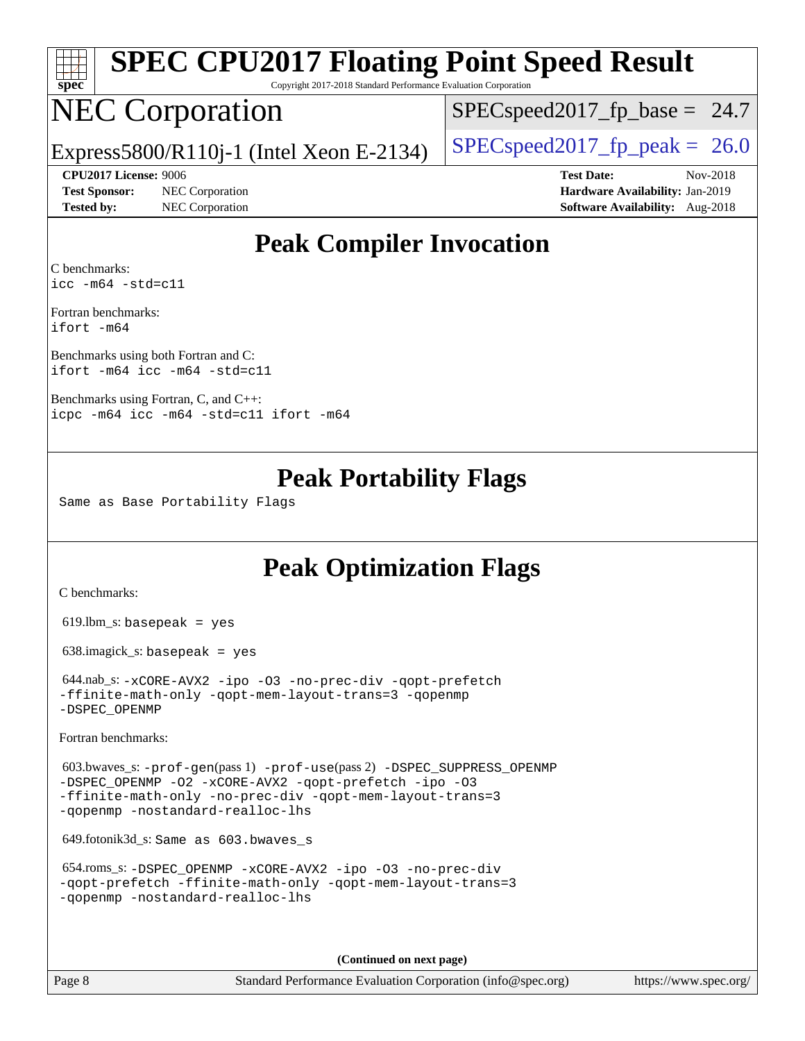| s<br>De<br>c |  |  |  |  |  |
|--------------|--|--|--|--|--|

# **[SPEC CPU2017 Floating Point Speed Result](http://www.spec.org/auto/cpu2017/Docs/result-fields.html#SPECCPU2017FloatingPointSpeedResult)**

Copyright 2017-2018 Standard Performance Evaluation Corporation

## NEC Corporation

 $SPECspeed2017<sub>fp</sub> base = 24.7$ 

Express5800/R110j-1 (Intel Xeon E-2134)  $\left|$  [SPECspeed2017\\_fp\\_peak =](http://www.spec.org/auto/cpu2017/Docs/result-fields.html#SPECspeed2017fppeak) 26.0

**[Test Sponsor:](http://www.spec.org/auto/cpu2017/Docs/result-fields.html#TestSponsor)** NEC Corporation **[Hardware Availability:](http://www.spec.org/auto/cpu2017/Docs/result-fields.html#HardwareAvailability)** Jan-2019 **[Tested by:](http://www.spec.org/auto/cpu2017/Docs/result-fields.html#Testedby)** NEC Corporation **[Software Availability:](http://www.spec.org/auto/cpu2017/Docs/result-fields.html#SoftwareAvailability)** Aug-2018

**[CPU2017 License:](http://www.spec.org/auto/cpu2017/Docs/result-fields.html#CPU2017License)** 9006 **[Test Date:](http://www.spec.org/auto/cpu2017/Docs/result-fields.html#TestDate)** Nov-2018

## **[Peak Compiler Invocation](http://www.spec.org/auto/cpu2017/Docs/result-fields.html#PeakCompilerInvocation)**

[C benchmarks](http://www.spec.org/auto/cpu2017/Docs/result-fields.html#Cbenchmarks): [icc -m64 -std=c11](http://www.spec.org/cpu2017/results/res2018q4/cpu2017-20181210-10068.flags.html#user_CCpeak_intel_icc_64bit_c11_33ee0cdaae7deeeab2a9725423ba97205ce30f63b9926c2519791662299b76a0318f32ddfffdc46587804de3178b4f9328c46fa7c2b0cd779d7a61945c91cd35)

[Fortran benchmarks:](http://www.spec.org/auto/cpu2017/Docs/result-fields.html#Fortranbenchmarks) [ifort -m64](http://www.spec.org/cpu2017/results/res2018q4/cpu2017-20181210-10068.flags.html#user_FCpeak_intel_ifort_64bit_24f2bb282fbaeffd6157abe4f878425411749daecae9a33200eee2bee2fe76f3b89351d69a8130dd5949958ce389cf37ff59a95e7a40d588e8d3a57e0c3fd751)

[Benchmarks using both Fortran and C](http://www.spec.org/auto/cpu2017/Docs/result-fields.html#BenchmarksusingbothFortranandC): [ifort -m64](http://www.spec.org/cpu2017/results/res2018q4/cpu2017-20181210-10068.flags.html#user_CC_FCpeak_intel_ifort_64bit_24f2bb282fbaeffd6157abe4f878425411749daecae9a33200eee2bee2fe76f3b89351d69a8130dd5949958ce389cf37ff59a95e7a40d588e8d3a57e0c3fd751) [icc -m64 -std=c11](http://www.spec.org/cpu2017/results/res2018q4/cpu2017-20181210-10068.flags.html#user_CC_FCpeak_intel_icc_64bit_c11_33ee0cdaae7deeeab2a9725423ba97205ce30f63b9926c2519791662299b76a0318f32ddfffdc46587804de3178b4f9328c46fa7c2b0cd779d7a61945c91cd35)

[Benchmarks using Fortran, C, and C++](http://www.spec.org/auto/cpu2017/Docs/result-fields.html#BenchmarksusingFortranCandCXX): [icpc -m64](http://www.spec.org/cpu2017/results/res2018q4/cpu2017-20181210-10068.flags.html#user_CC_CXX_FCpeak_intel_icpc_64bit_4ecb2543ae3f1412ef961e0650ca070fec7b7afdcd6ed48761b84423119d1bf6bdf5cad15b44d48e7256388bc77273b966e5eb805aefd121eb22e9299b2ec9d9) [icc -m64 -std=c11](http://www.spec.org/cpu2017/results/res2018q4/cpu2017-20181210-10068.flags.html#user_CC_CXX_FCpeak_intel_icc_64bit_c11_33ee0cdaae7deeeab2a9725423ba97205ce30f63b9926c2519791662299b76a0318f32ddfffdc46587804de3178b4f9328c46fa7c2b0cd779d7a61945c91cd35) [ifort -m64](http://www.spec.org/cpu2017/results/res2018q4/cpu2017-20181210-10068.flags.html#user_CC_CXX_FCpeak_intel_ifort_64bit_24f2bb282fbaeffd6157abe4f878425411749daecae9a33200eee2bee2fe76f3b89351d69a8130dd5949958ce389cf37ff59a95e7a40d588e8d3a57e0c3fd751)

## **[Peak Portability Flags](http://www.spec.org/auto/cpu2017/Docs/result-fields.html#PeakPortabilityFlags)**

Same as Base Portability Flags

## **[Peak Optimization Flags](http://www.spec.org/auto/cpu2017/Docs/result-fields.html#PeakOptimizationFlags)**

[C benchmarks](http://www.spec.org/auto/cpu2017/Docs/result-fields.html#Cbenchmarks):

619.lbm\_s: basepeak = yes

638.imagick\_s: basepeak = yes

 644.nab\_s: [-xCORE-AVX2](http://www.spec.org/cpu2017/results/res2018q4/cpu2017-20181210-10068.flags.html#user_peakCOPTIMIZE644_nab_s_f-xCORE-AVX2) [-ipo](http://www.spec.org/cpu2017/results/res2018q4/cpu2017-20181210-10068.flags.html#user_peakCOPTIMIZE644_nab_s_f-ipo) [-O3](http://www.spec.org/cpu2017/results/res2018q4/cpu2017-20181210-10068.flags.html#user_peakCOPTIMIZE644_nab_s_f-O3) [-no-prec-div](http://www.spec.org/cpu2017/results/res2018q4/cpu2017-20181210-10068.flags.html#user_peakCOPTIMIZE644_nab_s_f-no-prec-div) [-qopt-prefetch](http://www.spec.org/cpu2017/results/res2018q4/cpu2017-20181210-10068.flags.html#user_peakCOPTIMIZE644_nab_s_f-qopt-prefetch) [-ffinite-math-only](http://www.spec.org/cpu2017/results/res2018q4/cpu2017-20181210-10068.flags.html#user_peakCOPTIMIZE644_nab_s_f_finite_math_only_cb91587bd2077682c4b38af759c288ed7c732db004271a9512da14a4f8007909a5f1427ecbf1a0fb78ff2a814402c6114ac565ca162485bbcae155b5e4258871) [-qopt-mem-layout-trans=3](http://www.spec.org/cpu2017/results/res2018q4/cpu2017-20181210-10068.flags.html#user_peakCOPTIMIZE644_nab_s_f-qopt-mem-layout-trans_de80db37974c74b1f0e20d883f0b675c88c3b01e9d123adea9b28688d64333345fb62bc4a798493513fdb68f60282f9a726aa07f478b2f7113531aecce732043) [-qopenmp](http://www.spec.org/cpu2017/results/res2018q4/cpu2017-20181210-10068.flags.html#user_peakCOPTIMIZE644_nab_s_qopenmp_16be0c44f24f464004c6784a7acb94aca937f053568ce72f94b139a11c7c168634a55f6653758ddd83bcf7b8463e8028bb0b48b77bcddc6b78d5d95bb1df2967) [-DSPEC\\_OPENMP](http://www.spec.org/cpu2017/results/res2018q4/cpu2017-20181210-10068.flags.html#suite_peakCOPTIMIZE644_nab_s_DSPEC_OPENMP)

[Fortran benchmarks](http://www.spec.org/auto/cpu2017/Docs/result-fields.html#Fortranbenchmarks):

 603.bwaves\_s: [-prof-gen](http://www.spec.org/cpu2017/results/res2018q4/cpu2017-20181210-10068.flags.html#user_peakPASS1_FFLAGSPASS1_LDFLAGS603_bwaves_s_prof_gen_5aa4926d6013ddb2a31985c654b3eb18169fc0c6952a63635c234f711e6e63dd76e94ad52365559451ec499a2cdb89e4dc58ba4c67ef54ca681ffbe1461d6b36)(pass 1) [-prof-use](http://www.spec.org/cpu2017/results/res2018q4/cpu2017-20181210-10068.flags.html#user_peakPASS2_FFLAGSPASS2_LDFLAGS603_bwaves_s_prof_use_1a21ceae95f36a2b53c25747139a6c16ca95bd9def2a207b4f0849963b97e94f5260e30a0c64f4bb623698870e679ca08317ef8150905d41bd88c6f78df73f19)(pass 2) [-DSPEC\\_SUPPRESS\\_OPENMP](http://www.spec.org/cpu2017/results/res2018q4/cpu2017-20181210-10068.flags.html#suite_peakPASS1_FOPTIMIZE603_bwaves_s_DSPEC_SUPPRESS_OPENMP) [-DSPEC\\_OPENMP](http://www.spec.org/cpu2017/results/res2018q4/cpu2017-20181210-10068.flags.html#suite_peakPASS2_FOPTIMIZE603_bwaves_s_DSPEC_OPENMP) [-O2](http://www.spec.org/cpu2017/results/res2018q4/cpu2017-20181210-10068.flags.html#user_peakPASS1_FOPTIMIZE603_bwaves_s_f-O2) [-xCORE-AVX2](http://www.spec.org/cpu2017/results/res2018q4/cpu2017-20181210-10068.flags.html#user_peakPASS2_FOPTIMIZE603_bwaves_s_f-xCORE-AVX2) [-qopt-prefetch](http://www.spec.org/cpu2017/results/res2018q4/cpu2017-20181210-10068.flags.html#user_peakPASS1_FOPTIMIZEPASS2_FOPTIMIZE603_bwaves_s_f-qopt-prefetch) [-ipo](http://www.spec.org/cpu2017/results/res2018q4/cpu2017-20181210-10068.flags.html#user_peakPASS2_FOPTIMIZE603_bwaves_s_f-ipo) [-O3](http://www.spec.org/cpu2017/results/res2018q4/cpu2017-20181210-10068.flags.html#user_peakPASS2_FOPTIMIZE603_bwaves_s_f-O3) [-ffinite-math-only](http://www.spec.org/cpu2017/results/res2018q4/cpu2017-20181210-10068.flags.html#user_peakPASS1_FOPTIMIZEPASS2_FOPTIMIZE603_bwaves_s_f_finite_math_only_cb91587bd2077682c4b38af759c288ed7c732db004271a9512da14a4f8007909a5f1427ecbf1a0fb78ff2a814402c6114ac565ca162485bbcae155b5e4258871) [-no-prec-div](http://www.spec.org/cpu2017/results/res2018q4/cpu2017-20181210-10068.flags.html#user_peakPASS2_FOPTIMIZE603_bwaves_s_f-no-prec-div) [-qopt-mem-layout-trans=3](http://www.spec.org/cpu2017/results/res2018q4/cpu2017-20181210-10068.flags.html#user_peakPASS1_FOPTIMIZEPASS2_FOPTIMIZE603_bwaves_s_f-qopt-mem-layout-trans_de80db37974c74b1f0e20d883f0b675c88c3b01e9d123adea9b28688d64333345fb62bc4a798493513fdb68f60282f9a726aa07f478b2f7113531aecce732043) [-qopenmp](http://www.spec.org/cpu2017/results/res2018q4/cpu2017-20181210-10068.flags.html#user_peakPASS2_FOPTIMIZE603_bwaves_s_qopenmp_16be0c44f24f464004c6784a7acb94aca937f053568ce72f94b139a11c7c168634a55f6653758ddd83bcf7b8463e8028bb0b48b77bcddc6b78d5d95bb1df2967) [-nostandard-realloc-lhs](http://www.spec.org/cpu2017/results/res2018q4/cpu2017-20181210-10068.flags.html#user_peakEXTRA_FOPTIMIZE603_bwaves_s_f_2003_std_realloc_82b4557e90729c0f113870c07e44d33d6f5a304b4f63d4c15d2d0f1fab99f5daaed73bdb9275d9ae411527f28b936061aa8b9c8f2d63842963b95c9dd6426b8a)

649.fotonik3d\_s: Same as 603.bwaves\_s

```
 654.roms_s: -DSPEC_OPENMP -xCORE-AVX2 -ipo -O3 -no-prec-div
-qopt-prefetch -ffinite-math-only -qopt-mem-layout-trans=3
-qopenmp -nostandard-realloc-lhs
```
**(Continued on next page)**